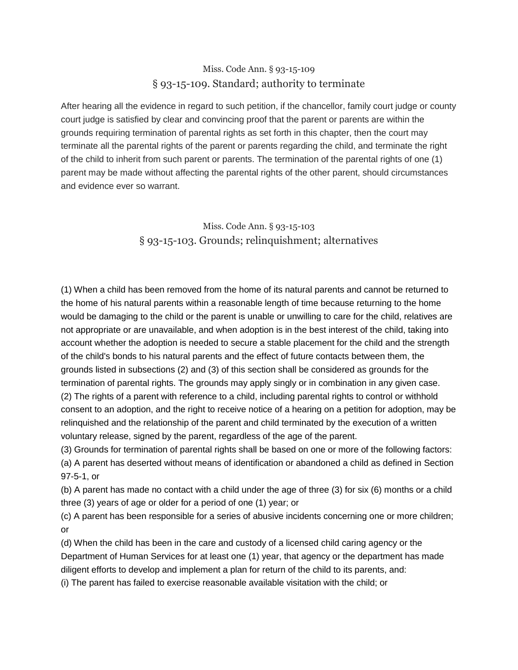## Miss. Code Ann. § 93-15-109 § 93-15-109. Standard; authority to terminate

After hearing all the evidence in regard to such petition, if the chancellor, family court judge or county court judge is satisfied by clear and convincing proof that the parent or parents are within the grounds requiring termination of parental rights as set forth in this chapter, then the court may terminate all the parental rights of the parent or parents regarding the child, and terminate the right of the child to inherit from such parent or parents. The termination of the parental rights of one (1) parent may be made without affecting the parental rights of the other parent, should circumstances and evidence ever so warrant.

## Miss. Code Ann. § 93-15-103 § 93-15-103. Grounds; relinquishment; alternatives

(1) When a child has been removed from the home of its natural parents and cannot be returned to the home of his natural parents within a reasonable length of time because returning to the home would be damaging to the child or the parent is unable or unwilling to care for the child, relatives are not appropriate or are unavailable, and when adoption is in the best interest of the child, taking into account whether the adoption is needed to secure a stable placement for the child and the strength of the child's bonds to his natural parents and the effect of future contacts between them, the grounds listed in subsections (2) and (3) of this section shall be considered as grounds for the termination of parental rights. The grounds may apply singly or in combination in any given case. (2) The rights of a parent with reference to a child, including parental rights to control or withhold consent to an adoption, and the right to receive notice of a hearing on a petition for adoption, may be relinquished and the relationship of the parent and child terminated by the execution of a written voluntary release, signed by the parent, regardless of the age of the parent.

(3) Grounds for termination of parental rights shall be based on one or more of the following factors: (a) A parent has deserted without means of identification or abandoned a child as defined in [Section](https://a.next.westlaw.com/Link/Document/FullText?findType=L&pubNum=1000933&cite=MSSTS97-5-1&originatingDoc=N17693D90AC9111DBB5DDAC3692B918BC&refType=LQ&originationContext=document&transitionType=DocumentItem&contextData=(sc.UserEnteredCitation))  [97-5-1,](https://a.next.westlaw.com/Link/Document/FullText?findType=L&pubNum=1000933&cite=MSSTS97-5-1&originatingDoc=N17693D90AC9111DBB5DDAC3692B918BC&refType=LQ&originationContext=document&transitionType=DocumentItem&contextData=(sc.UserEnteredCitation)) or

(b) A parent has made no contact with a child under the age of three (3) for six (6) months or a child three (3) years of age or older for a period of one (1) year; or

(c) A parent has been responsible for a series of abusive incidents concerning one or more children; or

(d) When the child has been in the care and custody of a licensed child caring agency or the Department of Human Services for at least one (1) year, that agency or the department has made diligent efforts to develop and implement a plan for return of the child to its parents, and: (i) The parent has failed to exercise reasonable available visitation with the child; or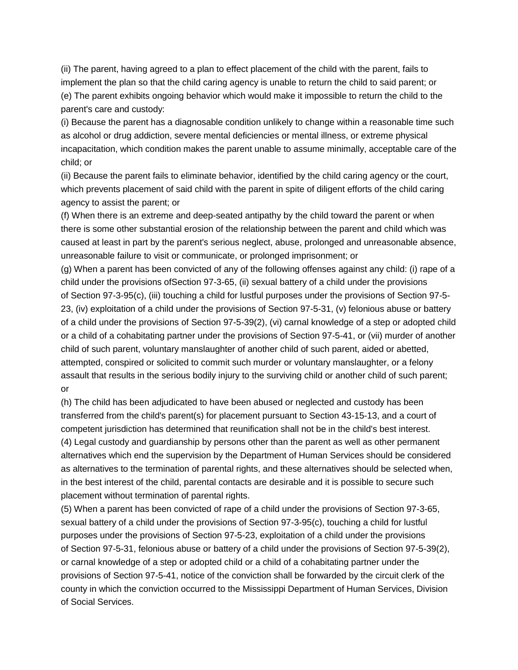(ii) The parent, having agreed to a plan to effect placement of the child with the parent, fails to implement the plan so that the child caring agency is unable to return the child to said parent; or (e) The parent exhibits ongoing behavior which would make it impossible to return the child to the parent's care and custody:

(i) Because the parent has a diagnosable condition unlikely to change within a reasonable time such as alcohol or drug addiction, severe mental deficiencies or mental illness, or extreme physical incapacitation, which condition makes the parent unable to assume minimally, acceptable care of the child; or

(ii) Because the parent fails to eliminate behavior, identified by the child caring agency or the court, which prevents placement of said child with the parent in spite of diligent efforts of the child caring agency to assist the parent; or

(f) When there is an extreme and deep-seated antipathy by the child toward the parent or when there is some other substantial erosion of the relationship between the parent and child which was caused at least in part by the parent's serious neglect, abuse, prolonged and unreasonable absence, unreasonable failure to visit or communicate, or prolonged imprisonment; or

(g) When a parent has been convicted of any of the following offenses against any child: (i) rape of a child under the provisions o[fSection 97-3-65, \(ii\)](https://a.next.westlaw.com/Link/Document/FullText?findType=L&pubNum=1000933&cite=MSSTS97-3-65&originatingDoc=N17693D90AC9111DBB5DDAC3692B918BC&refType=LQ&originationContext=document&transitionType=DocumentItem&contextData=(sc.UserEnteredCitation)) sexual battery of a child under the provisions of [Section 97-3-95\(c\), \(iii\)](https://a.next.westlaw.com/Link/Document/FullText?findType=L&pubNum=1000933&cite=MSSTS97-3-95&originatingDoc=N17693D90AC9111DBB5DDAC3692B918BC&refType=LQ&originationContext=document&transitionType=DocumentItem&contextData=(sc.UserEnteredCitation)) touching a child for lustful purposes under the provisions of [Section 97-5-](https://a.next.westlaw.com/Link/Document/FullText?findType=L&pubNum=1000933&cite=MSSTS97-5-23&originatingDoc=N17693D90AC9111DBB5DDAC3692B918BC&refType=LQ&originationContext=document&transitionType=DocumentItem&contextData=(sc.UserEnteredCitation)) [23, \(iv\)](https://a.next.westlaw.com/Link/Document/FullText?findType=L&pubNum=1000933&cite=MSSTS97-5-23&originatingDoc=N17693D90AC9111DBB5DDAC3692B918BC&refType=LQ&originationContext=document&transitionType=DocumentItem&contextData=(sc.UserEnteredCitation)) exploitation of a child under the provisions of [Section 97-5-31, \(v\)](https://a.next.westlaw.com/Link/Document/FullText?findType=L&pubNum=1000933&cite=MSSTS97-5-31&originatingDoc=N17693D90AC9111DBB5DDAC3692B918BC&refType=LQ&originationContext=document&transitionType=DocumentItem&contextData=(sc.UserEnteredCitation)) felonious abuse or battery of a child under the provisions of [Section 97-5-39\(2\), \(vi\)](https://a.next.westlaw.com/Link/Document/FullText?findType=L&pubNum=1000933&cite=MSSTS97-5-39&originatingDoc=N17693D90AC9111DBB5DDAC3692B918BC&refType=SP&originationContext=document&transitionType=DocumentItem&contextData=(sc.UserEnteredCitation)#co_pp_58730000872b1) carnal knowledge of a step or adopted child or a child of a cohabitating partner under the provisions of [Section 97-5-41,](https://a.next.westlaw.com/Link/Document/FullText?findType=L&pubNum=1000933&cite=MSSTS97-5-41&originatingDoc=N17693D90AC9111DBB5DDAC3692B918BC&refType=LQ&originationContext=document&transitionType=DocumentItem&contextData=(sc.UserEnteredCitation)) or (vii) murder of another child of such parent, voluntary manslaughter of another child of such parent, aided or abetted, attempted, conspired or solicited to commit such murder or voluntary manslaughter, or a felony assault that results in the serious bodily injury to the surviving child or another child of such parent; or

(h) The child has been adjudicated to have been abused or neglected and custody has been transferred from the child's parent(s) for placement pursuant to [Section 43-15-13,](https://a.next.westlaw.com/Link/Document/FullText?findType=L&pubNum=1000933&cite=MSSTS43-15-13&originatingDoc=N17693D90AC9111DBB5DDAC3692B918BC&refType=LQ&originationContext=document&transitionType=DocumentItem&contextData=(sc.UserEnteredCitation)) and a court of competent jurisdiction has determined that reunification shall not be in the child's best interest. (4) Legal custody and guardianship by persons other than the parent as well as other permanent alternatives which end the supervision by the Department of Human Services should be considered as alternatives to the termination of parental rights, and these alternatives should be selected when, in the best interest of the child, parental contacts are desirable and it is possible to secure such placement without termination of parental rights.

(5) When a parent has been convicted of rape of a child under the provisions of [Section 97-3-65,](https://a.next.westlaw.com/Link/Document/FullText?findType=L&pubNum=1000933&cite=MSSTS97-3-65&originatingDoc=N17693D90AC9111DBB5DDAC3692B918BC&refType=LQ&originationContext=document&transitionType=DocumentItem&contextData=(sc.UserEnteredCitation)) sexual battery of a child under the provisions of [Section 97-3-95\(c\),](https://a.next.westlaw.com/Link/Document/FullText?findType=L&pubNum=1000933&cite=MSSTS97-3-95&originatingDoc=N17693D90AC9111DBB5DDAC3692B918BC&refType=LQ&originationContext=document&transitionType=DocumentItem&contextData=(sc.UserEnteredCitation)) touching a child for lustful purposes under the provisions of [Section 97-5-23,](https://a.next.westlaw.com/Link/Document/FullText?findType=L&pubNum=1000933&cite=MSSTS97-5-23&originatingDoc=N17693D90AC9111DBB5DDAC3692B918BC&refType=LQ&originationContext=document&transitionType=DocumentItem&contextData=(sc.UserEnteredCitation)) exploitation of a child under the provisions of [Section 97-5-31,](https://a.next.westlaw.com/Link/Document/FullText?findType=L&pubNum=1000933&cite=MSSTS97-5-31&originatingDoc=N17693D90AC9111DBB5DDAC3692B918BC&refType=LQ&originationContext=document&transitionType=DocumentItem&contextData=(sc.UserEnteredCitation)) felonious abuse or battery of a child under the provisions of [Section 97-5-39\(2\),](https://a.next.westlaw.com/Link/Document/FullText?findType=L&pubNum=1000933&cite=MSSTS97-5-39&originatingDoc=N17693D90AC9111DBB5DDAC3692B918BC&refType=SP&originationContext=document&transitionType=DocumentItem&contextData=(sc.UserEnteredCitation)#co_pp_58730000872b1) or carnal knowledge of a step or adopted child or a child of a cohabitating partner under the provisions of [Section 97-5-41,](https://a.next.westlaw.com/Link/Document/FullText?findType=L&pubNum=1000933&cite=MSSTS97-5-41&originatingDoc=N17693D90AC9111DBB5DDAC3692B918BC&refType=LQ&originationContext=document&transitionType=DocumentItem&contextData=(sc.UserEnteredCitation)) notice of the conviction shall be forwarded by the circuit clerk of the county in which the conviction occurred to the Mississippi Department of Human Services, Division of Social Services.